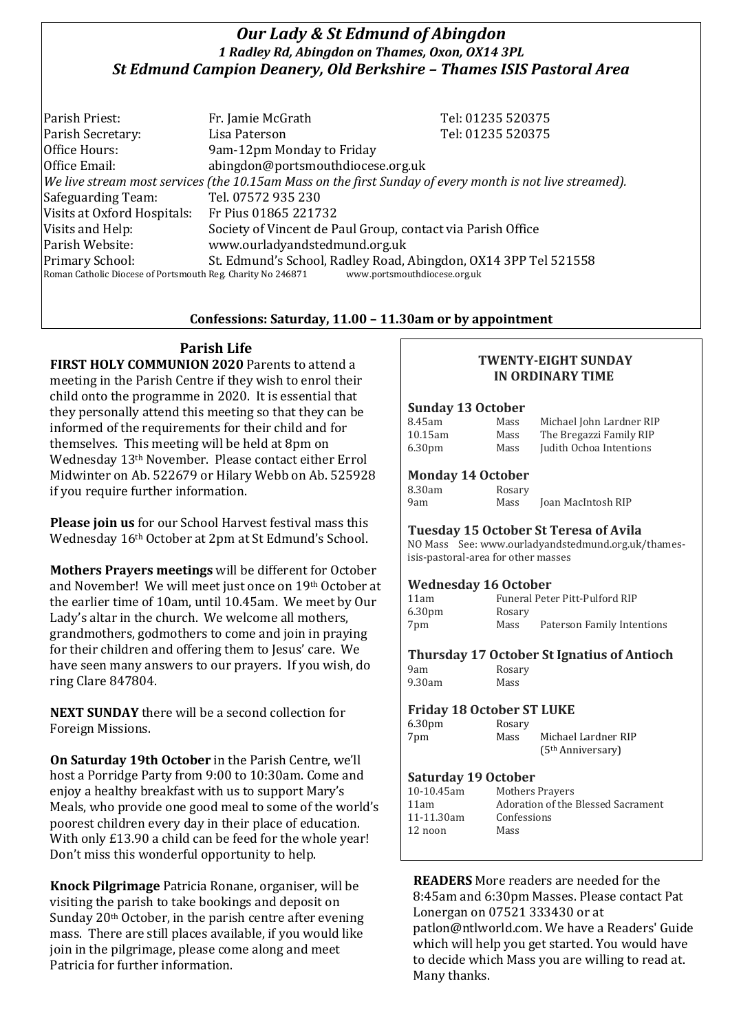## *Our Lady & St Edmund of Abingdon 1 Radley Rd, Abingdon on Thames, Oxon, OX14 3PL St Edmund Campion Deanery, Old Berkshire – Thames ISIS Pastoral Area*

Parish Priest: Fr. Jamie McGrath Tel: 01235 520375 Parish Secretary: Tel: 01235 520375 Office Hours: 9am-12pm Monday to Friday Office Email: abingdon@portsmouthdiocese.org.uk *We live stream most services (the 10.15am Mass on the first Sunday of every month is not live streamed).* Safeguarding Team: Tel. 07572 935 230 Visits at Oxford Hospitals: Fr Pius 01865 221732 Visits and Help: Society of Vincent de Paul Group, contact via Parish Office Parish Website: www.ourladyandstedmund.org.uk Primary School: St. Edmund's School, Radley Road, Abingdon, OX14 3PP Tel 521558 Roman Catholic Diocese of Portsmouth Reg. Charity No 246871 www.portsmouthdiocese.org.uk

## **Confessions: Saturday, 11.00 – 11.30am or by appointment**

# **Parish Life**

**FIRST HOLY COMMUNION 2020** Parents to attend a meeting in the Parish Centre if they wish to enrol their child onto the programme in 2020. It is essential that they personally attend this meeting so that they can be informed of the requirements for their child and for themselves. This meeting will be held at 8pm on Wednesday 13th November. Please contact either Errol Midwinter on Ab. 522679 or Hilary Webb on Ab. 525928 if you require further information.

**Please join us** for our School Harvest festival mass this Wednesday 16th October at 2pm at St Edmund's School.

**Mothers Prayers meetings** will be different for October and November! We will meet just once on 19th October at the earlier time of 10am, until 10.45am. We meet by Our Lady's altar in the church. We welcome all mothers, grandmothers, godmothers to come and join in praying for their children and offering them to Jesus' care. We have seen many answers to our prayers. If you wish, do ring Clare 847804.

**NEXT SUNDAY** there will be a second collection for Foreign Missions.

**On Saturday 19th October** in the Parish Centre, we'll host a Porridge Party from 9:00 to 10:30am. Come and enjoy a healthy breakfast with us to support Mary's Meals, who provide one good meal to some of the world's poorest children every day in their place of education. With only £13.90 a child can be feed for the whole vear! Don't miss this wonderful opportunity to help.

**Knock Pilgrimage** Patricia Ronane, organiser, will be visiting the parish to take bookings and deposit on Sunday 20<sup>th</sup> October, in the parish centre after evening mass. There are still places available, if you would like join in the pilgrimage, please come along and meet Patricia for further information.

## **TWENTY-EIGHT SUNDAY IN ORDINARY TIME**

#### **Sunday 13 October**

| 8.45am             | Mass | Michael John Lardner RIP |
|--------------------|------|--------------------------|
| 10.15am            | Mass | The Bregazzi Family RIP  |
| 6.30 <sub>pm</sub> | Mass | Judith Ochoa Intentions  |
|                    |      |                          |

## **Monday 14 October**

| 8.30am | Rosary |                    |
|--------|--------|--------------------|
| 9am    | Mass   | Joan MacIntosh RIP |

#### **Tuesday 15 October St Teresa of Avila**

NO Mass See: www.ourladyandstedmund.org.uk/thamesisis-pastoral-area for other masses

## **Wednesday 16 October**

| 11am               |        | Funeral Peter Pitt-Pulford RIP |
|--------------------|--------|--------------------------------|
| 6.30 <sub>pm</sub> | Rosary |                                |
| 7pm                | Mass   | Paterson Family Intentions     |

## **Thursday 17 October St Ignatius of Antioch**

9am Rosary 9.30am Mass

#### **Friday 18 October ST LUKE**

| 6.30 <sub>pm</sub> | Rosary |                               |
|--------------------|--------|-------------------------------|
| 7pm                | Mass   | Michael Lardner RIP           |
|                    |        | (5 <sup>th</sup> Anniversary) |

#### **Saturday 19 October**

| 10-10.45am      | <b>Mothers Prayers</b>             |
|-----------------|------------------------------------|
| 11am            | Adoration of the Blessed Sacrament |
| $11 - 11.30$ am | Confessions                        |
| 12 noon         | Mass                               |
|                 |                                    |

**READERS** More readers are needed for the 8:45am and 6:30pm Masses. Please contact Pat Lonergan on 07521 333430 or at patlon@ntlworld.com. We have a Readers' Guide which will help you get started. You would have to decide which Mass you are willing to read at. Many thanks.